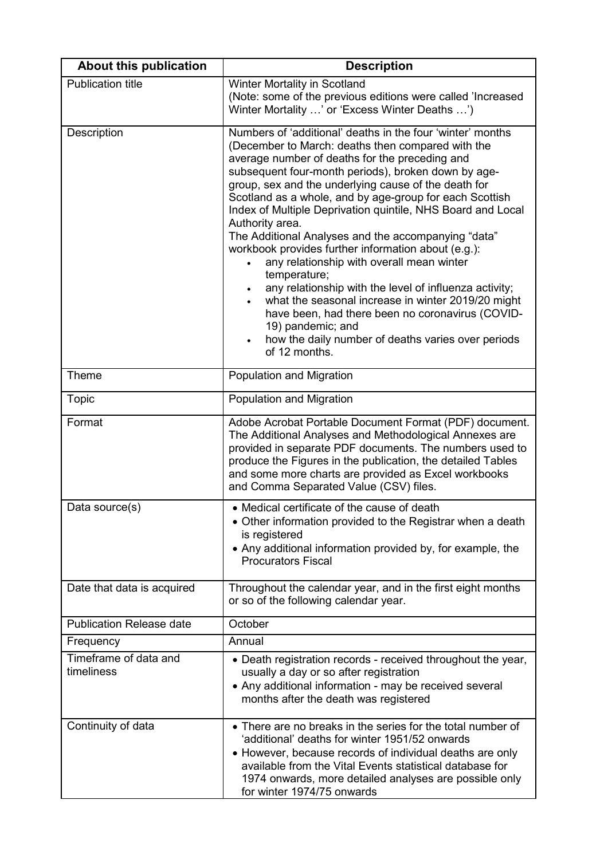| <b>About this publication</b>       | <b>Description</b>                                                                                                                                                                                                                                                                                                                                                                                                                                                                                                                                                                                                                                                                                                                                                                                                                                                       |
|-------------------------------------|--------------------------------------------------------------------------------------------------------------------------------------------------------------------------------------------------------------------------------------------------------------------------------------------------------------------------------------------------------------------------------------------------------------------------------------------------------------------------------------------------------------------------------------------------------------------------------------------------------------------------------------------------------------------------------------------------------------------------------------------------------------------------------------------------------------------------------------------------------------------------|
| <b>Publication title</b>            | Winter Mortality in Scotland<br>(Note: some of the previous editions were called 'Increased<br>Winter Mortality ' or 'Excess Winter Deaths ')                                                                                                                                                                                                                                                                                                                                                                                                                                                                                                                                                                                                                                                                                                                            |
| Description                         | Numbers of 'additional' deaths in the four 'winter' months<br>(December to March: deaths then compared with the<br>average number of deaths for the preceding and<br>subsequent four-month periods), broken down by age-<br>group, sex and the underlying cause of the death for<br>Scotland as a whole, and by age-group for each Scottish<br>Index of Multiple Deprivation quintile, NHS Board and Local<br>Authority area.<br>The Additional Analyses and the accompanying "data"<br>workbook provides further information about (e.g.):<br>any relationship with overall mean winter<br>temperature;<br>any relationship with the level of influenza activity;<br>what the seasonal increase in winter 2019/20 might<br>have been, had there been no coronavirus (COVID-<br>19) pandemic; and<br>how the daily number of deaths varies over periods<br>of 12 months. |
| Theme                               | Population and Migration                                                                                                                                                                                                                                                                                                                                                                                                                                                                                                                                                                                                                                                                                                                                                                                                                                                 |
| <b>Topic</b>                        | Population and Migration                                                                                                                                                                                                                                                                                                                                                                                                                                                                                                                                                                                                                                                                                                                                                                                                                                                 |
| Format                              | Adobe Acrobat Portable Document Format (PDF) document.<br>The Additional Analyses and Methodological Annexes are<br>provided in separate PDF documents. The numbers used to<br>produce the Figures in the publication, the detailed Tables<br>and some more charts are provided as Excel workbooks<br>and Comma Separated Value (CSV) files.                                                                                                                                                                                                                                                                                                                                                                                                                                                                                                                             |
| Data source(s)                      | • Medical certificate of the cause of death<br>• Other information provided to the Registrar when a death<br>is registered<br>• Any additional information provided by, for example, the<br><b>Procurators Fiscal</b>                                                                                                                                                                                                                                                                                                                                                                                                                                                                                                                                                                                                                                                    |
| Date that data is acquired          | Throughout the calendar year, and in the first eight months<br>or so of the following calendar year.                                                                                                                                                                                                                                                                                                                                                                                                                                                                                                                                                                                                                                                                                                                                                                     |
| <b>Publication Release date</b>     | October                                                                                                                                                                                                                                                                                                                                                                                                                                                                                                                                                                                                                                                                                                                                                                                                                                                                  |
| Frequency                           | Annual                                                                                                                                                                                                                                                                                                                                                                                                                                                                                                                                                                                                                                                                                                                                                                                                                                                                   |
| Timeframe of data and<br>timeliness | • Death registration records - received throughout the year,<br>usually a day or so after registration<br>• Any additional information - may be received several<br>months after the death was registered                                                                                                                                                                                                                                                                                                                                                                                                                                                                                                                                                                                                                                                                |
| Continuity of data                  | • There are no breaks in the series for the total number of<br>'additional' deaths for winter 1951/52 onwards<br>• However, because records of individual deaths are only<br>available from the Vital Events statistical database for<br>1974 onwards, more detailed analyses are possible only<br>for winter 1974/75 onwards                                                                                                                                                                                                                                                                                                                                                                                                                                                                                                                                            |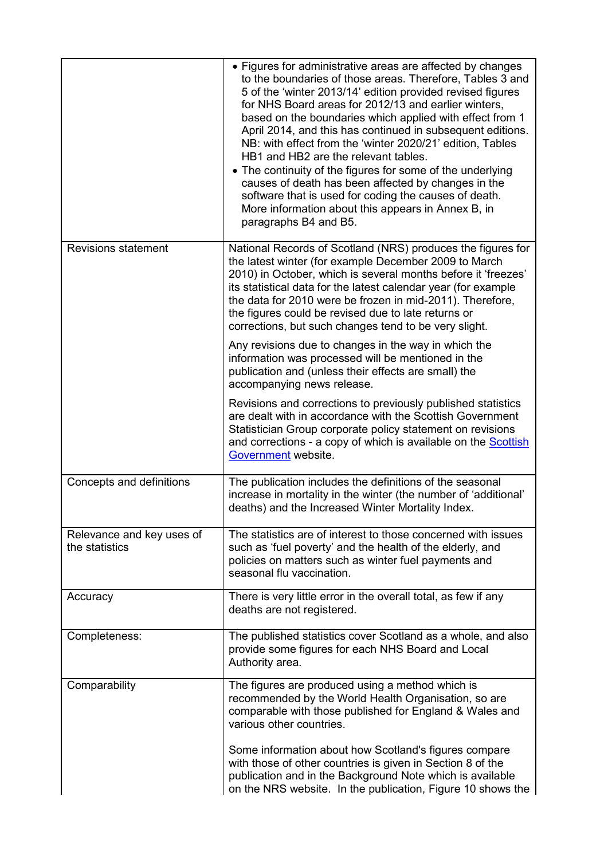|                                             | • Figures for administrative areas are affected by changes<br>to the boundaries of those areas. Therefore, Tables 3 and<br>5 of the 'winter 2013/14' edition provided revised figures<br>for NHS Board areas for 2012/13 and earlier winters,<br>based on the boundaries which applied with effect from 1<br>April 2014, and this has continued in subsequent editions.<br>NB: with effect from the 'winter 2020/21' edition, Tables<br>HB1 and HB2 are the relevant tables.<br>• The continuity of the figures for some of the underlying<br>causes of death has been affected by changes in the<br>software that is used for coding the causes of death.<br>More information about this appears in Annex B, in<br>paragraphs B4 and B5. |
|---------------------------------------------|-------------------------------------------------------------------------------------------------------------------------------------------------------------------------------------------------------------------------------------------------------------------------------------------------------------------------------------------------------------------------------------------------------------------------------------------------------------------------------------------------------------------------------------------------------------------------------------------------------------------------------------------------------------------------------------------------------------------------------------------|
| <b>Revisions statement</b>                  | National Records of Scotland (NRS) produces the figures for<br>the latest winter (for example December 2009 to March<br>2010) in October, which is several months before it 'freezes'<br>its statistical data for the latest calendar year (for example<br>the data for 2010 were be frozen in mid-2011). Therefore,<br>the figures could be revised due to late returns or<br>corrections, but such changes tend to be very slight.                                                                                                                                                                                                                                                                                                      |
|                                             | Any revisions due to changes in the way in which the<br>information was processed will be mentioned in the<br>publication and (unless their effects are small) the<br>accompanying news release.                                                                                                                                                                                                                                                                                                                                                                                                                                                                                                                                          |
|                                             | Revisions and corrections to previously published statistics<br>are dealt with in accordance with the Scottish Government<br>Statistician Group corporate policy statement on revisions<br>and corrections - a copy of which is available on the <b>Scottish</b><br>Government website.                                                                                                                                                                                                                                                                                                                                                                                                                                                   |
| Concepts and definitions                    | The publication includes the definitions of the seasonal<br>increase in mortality in the winter (the number of 'additional'<br>deaths) and the Increased Winter Mortality Index.                                                                                                                                                                                                                                                                                                                                                                                                                                                                                                                                                          |
| Relevance and key uses of<br>the statistics | The statistics are of interest to those concerned with issues<br>such as 'fuel poverty' and the health of the elderly, and<br>policies on matters such as winter fuel payments and<br>seasonal flu vaccination.                                                                                                                                                                                                                                                                                                                                                                                                                                                                                                                           |
| Accuracy                                    | There is very little error in the overall total, as few if any<br>deaths are not registered.                                                                                                                                                                                                                                                                                                                                                                                                                                                                                                                                                                                                                                              |
| Completeness:                               | The published statistics cover Scotland as a whole, and also<br>provide some figures for each NHS Board and Local<br>Authority area.                                                                                                                                                                                                                                                                                                                                                                                                                                                                                                                                                                                                      |
| Comparability                               | The figures are produced using a method which is<br>recommended by the World Health Organisation, so are<br>comparable with those published for England & Wales and<br>various other countries.                                                                                                                                                                                                                                                                                                                                                                                                                                                                                                                                           |
|                                             | Some information about how Scotland's figures compare<br>with those of other countries is given in Section 8 of the<br>publication and in the Background Note which is available<br>on the NRS website. In the publication, Figure 10 shows the                                                                                                                                                                                                                                                                                                                                                                                                                                                                                           |